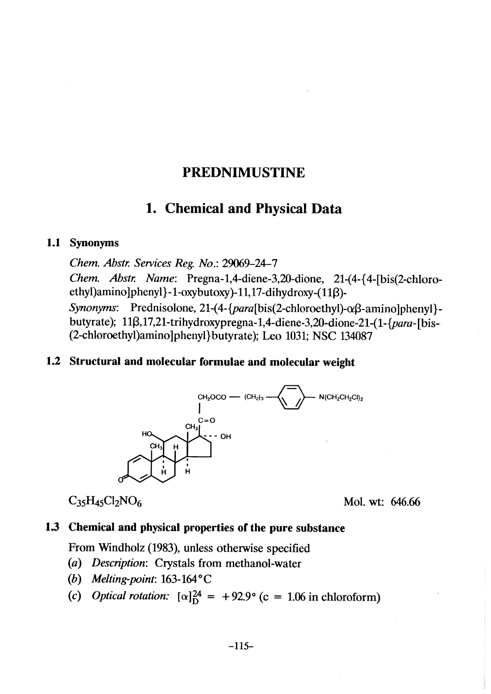# PREDNIMUSTINE

# 1. Chemical and Physical Data

#### 1.1 Synonyms

Chem. Abstr. Services Reg. No.: 29069-24-7 Chem. Abstr. Name: Pregna-1,4-diene-3,20-dione, 21-(4-{4-[bis(2-chloroethyl)amino ]phenyl }-1-oxybutoxy)-11,17-dihydroxy-(11 $\beta$ )-Synonyms: Prednisolone, 21-(4-{para[bis(2-chloroethyl)- $\alpha\beta$ -amino]phenyl}butyrate);  $11\beta$ ,17,21-trihydroxypregna-1,4-diene-3,20-dione-21-(1- $\{para$ -[bis-(2-chloroethyl)amino]phenyl}butyrate); Leo 1031; NSC 134087

#### 1.2 Structural and molecular formulae and molecular weight



 $C_{35}H_{45}Cl_{2}NO_{6}$  Mol. wt: 646.66

#### 1.3 Chemical and physical properties of the pure substance

From WIndholz (1983), unless otherwise specified

- (a) Description: Crystals from methanol-water
- (b) Melting-point:  $163-164$ °C
- (c) Optical rotation:  $[\alpha]_D^{24} = +92.9^{\circ}$  (c = 1.06 in chloroform)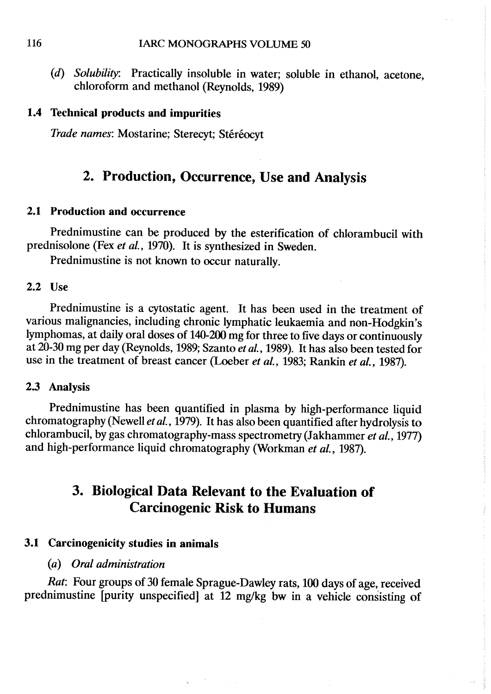(d) Solubility: Practically insoluble in water; soluble in ethanol, acetone, chloroform and methanol (Reynolds, 1989)

#### 1.4 Technical products and impurities

Trade names: Mostarine; Sterecyt; Stéréocyt

# 2. Production, Occurrence, Use and Analysis

#### 2.1 Production and occurrence

Prednimustine can be produced by the esterification of chlorambucil with prednisolone (Fex et al., 1970). It is synthesized in Sweden.

Prednimustine is not known to occur naturally.

#### 2.2 Use

Prednimustine is a cytostatic agent. It has been used in the treatment of various malignancies, including chronic lymphatic leukaemia and non-Hodgkin's lymphomas, at daily oral doses of 140-200 mg for three to five days or continuously at 20-30 mg per day (Reynolds, 1989; Szanto et al., 1989). It has also been tested for use in the treatment of breast cancer (Loeber et al., 1983; Rankin et al., 1987).

#### 2.3 Analysis

Prednimustine has been quantified in plasma by high-performance liquid chromatography (Newell et al., 1979). It has also been quantified after hydrolysis to chlorambucil, by gas chromatography-mass spectrometry (Jakhammer et al., 1977) and high-performance liquid chromatography (Workman et al., 1987).

# 3. Biological Data Relevant to the Evaluation of **Carcinogenic Risk to Humans**

### 3.1 Carcinogenicity studies in animaIs

#### (a) Oral administration

Rat: Four groups of 30 female Sprague- Dawley rats, 100 days of age, received prednimustine (purity unspecified) at 12 mg/kg bw in a vehicle consisting of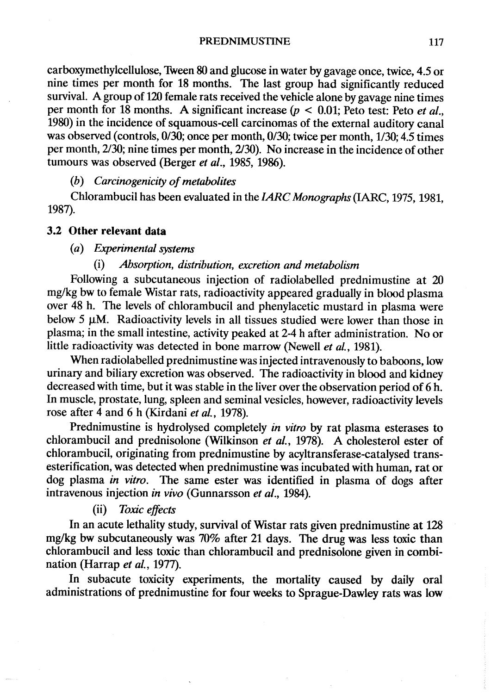carboxymethylcellulose, 1Ween 80 and glucose in water by gavage once, twice, 4.5 or nine times per month for 18 months. The last group had significantly reduced survival. A group of 120 female rats received the vehicle alone by gavage nine times per month for 18 months. A significant increase ( $p < 0.01$ ; Peto test: Peto *et al.*, 1980) in the incidence of squamous-cell carcinomas of the external auditory canal was observed (controls, 0/30; once per month, 0/30; twice per month, 1/30; 4.5 times per month, 2/30; nine times per month, 2/30). No increase in the incidence of other tumours was observed (Berger et al., 1985, 1986).

 $(b)$  Carcinogenicity of metabolites

Chlorambucil has been evaluated in the IARC Monographs (IARC, 1975, 1981, 1987).

#### 3.2 Other relevant data

#### (a) Experimental systems

#### (i) Absorption, distribution, exretion and metabolism

Following a subcutaneous injection of radiolabelled prednimustine at 20 mg/kg bw to female Wistar rats, radioactivity appeared gradually in blood plasma over 48 h. The levels of chlorambucil and phenylacetic mustard in plasma were below 5  $\mu$ M. Radioactivity levels in all tissues studied were lower than those in plasma; in the small intestine, activity peaked at 2-4 h after administration. No or little radioactivity was detected in bone marrow (Newell et al., 1981).

When radiolabelled prednimustine was injected intravenously to baboons, low urinary and biliary excretion was observed. The radioactivity in blood and kidney decreased with time, but it was stable in the liver over the observation period of 6 h. ln muscle, prostate, lung, spleen and seminal vesicles, however, radioactivity levels rose after 4 and 6 h (Kirdani et al., 1978).

Prednimustine is hydrolysed completely in vitro by rat plasma esterases to chlorambucil and prednisolone (Wilkinson et al., 1978). A cholesterol ester of chlorambucil, originating from prednimustine by acyltransferase-catalysed transesterification, was detected when prednimustine was incubated with human, rat or dog plasma in vitro. The same ester was identified in plasma of dogs after intravenous injection in vivo (Gunnarsson et al., 1984).

#### (ii) Toxic effects

ln an acute lethality study, survival of Wistar rats given prednimustine at 128 mg/kg bw subcutaneously was 70% after 21 days. The drug was less toxic than chlorambucil and less toxic than chlorambucil and prednisolone given in combination (Harrap et al., 1977).

ln subacute toxicity experiments, the mortality caused by daily oral administrations of prednimustine for four weeks to Sprague-Dawley rats was low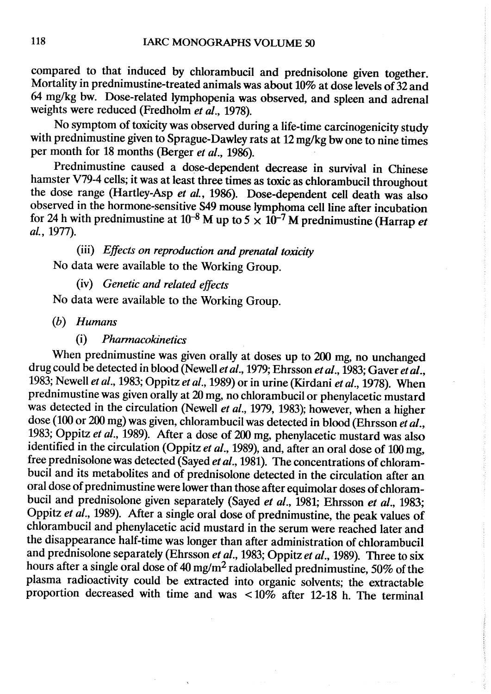compared to that induced by chlorambucil and prednisolone given together. Mortality in prednimustine-treated animals was about 10% at dose levels of 32 and 64 mg/kg bw. Dose-related lymphopenia was observed, and spleen and adrenal weights were reduced (Fredholm et  $\vec{a}l$ ., 1978).

No symptom of toxicity was observed during a life-time carcinogenicity study with prednimustine given to Sprague-Dawley rats at 12 mg/kg bw one to nine times per month for 18 months (Berger et al., 1986).

Prednimustine caused a dose-dependent decrease in survival in Chinese hamster V79-4 cells; it was at least three times as toxic as chlorambucil throughout the dose range (Hartley-Asp et al., 1986). Dose-dependent cell death was also observed in the hormone-sensitive S49 mouse lymphoma cell line after incubation for 24 h with prednimustine at  $10^{-8}$  M up to  $5 \times 10^{-7}$  M prednimustine (Harrap *et* al., 1977).

(iii) Effects on reproduction and prenatal toxicity No data were available to the Working Group.

# (iv) Genetic and related effects

No data were available to the Working Group.

(h) Humans

#### (i) Pharmacokinetics

When prednimustine was given orally at doses up to 200 mg, no unchanged drug could be detected in blood (Newell et al., 1979; Ehrsson et al., 1983; Gaver et al., 1983; Newell et al., 1983; Oppitz et al., 1989) or in urine (Kirdani et al., 1978). When prednimustine was given orally at 20 mg, no chlorambucil or phenylacetic mustard was detected in the circulation (Newell et al., 1979, 1983); however, when a higher dose (100 or 200 mg) was given, chlorambucil was detected in blood (Ehrsson et al., 1983; Oppitz et al., 1989). After a dose of 200 mg, phenylacetic mustard was also identified in the circulation (Oppitz et al., 1989), and, after an oral dose of 100 mg, free prednisolone was detected (Sayed et al., 1981). The concentrations of chlorambucil and its metabolites and of prednisolone detected in the circulation after an oral dose of prednimustine were lower than those after equimolar doses of chlorambucil and prednisolone given separately (Sayed et al., 1981; Ehrsson et al., 1983; Oppitz et al., 1989). After a single oral dose of prednimustine, the peak values of chlorambucil and phenylacetic acid mustard in the serum were reached later and the disappearance half-time was longer than after administration of chlorambucil and prednisolone separately (Ehrsson et al., 1983; Oppitz et al., 1989). Three to six hours after a single oral dose of 40 mg/m2 radiolabelled prednimustine, 50% of the plasma radioactivity could be extracted into organic solvents; the extractable proportion decreased with time and was  $\lt 10\%$  after 12-18 h. The terminal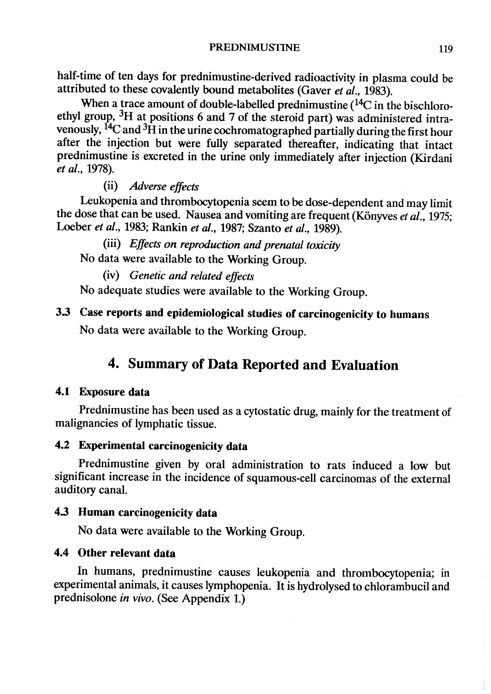half-time of ten days for prednimustine-derived radioactivity in plasma could be attributed to these covalently bound metabolites (Gaver et  $al$ ., 1983).

When a trace amount of double-labelled prednimustine  $(^{14}C$  in the bischloroethyl group,  ${}^{3}H$  at positions 6 and 7 of the steroid part) was administered intravenously,  $^{14}C$  and  $^{3}H$  in the urine cochromatographed partially during the first hour after the injection but were fully separated thereafter, indicating that intact prednimustine is excreted in the urine only immediately after injection (Kirdani et al., 1978).

(ii) Adverse effects

Leukopenia and thromboytopenia seem to be dose-dependent and may limit the dose that can be used. Nausea and vomiting are frequent (Könyves et al., 1975; Loeber et al., 1983; Rankin et al., 1987; Szanto et al., 1989).

(iii) Effects on reproduction and prenatal toxicity No data were available to the Working Group.

(iv) Genetic and related effects

No adequate studies were available to the Working Group.

# 3.3 Case reports and epidemiological studies of carcinogenicity to humans No data were available to the Working Group.

# 4. Summary of Data Reported and Evaluation

## 4.1 Exposure data

Prednimustine has been used as a cytostatic drug, mainly for the treatment of malignancies of lymphatic tissue.

## 4.2 Experimental carcinogenicity data

Prednimustine given by oral administration to rats induced a low but significant increase in the incidence of squamous-cell carcinomas of the external auditory canaL.

## 4.3 Human carcinogenicity data

No data were available to the Working Group.

## 4.4 Other relevant data

ln humans, prednimustine causes leukopenia and thrombocytopenia; in experimental animaIs, it causes lymphopenia. It is hydrolysed to chlorambucil and prednisolone in vivo. (See Appendix 1.)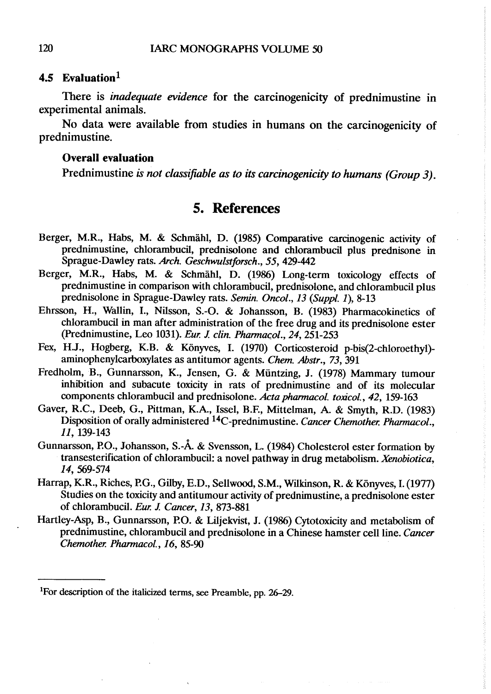#### 4.5 Evaluation<sup>1</sup>

There is *inadequate evidence* for the carcinogenicity of prednimustine in experimental animaIs.

No data were available from studies in humans on the carcinogenicity of prednimustine.

#### **Overall evaluation**

Prednimustine is not classifiable as to its carcinogenicity to humans (Group 3).

## 5. References

- Berger, M.R., Habs, M. & Schmähl, D. (1985) Compative carciogenic activity of prednimustine, chlorambucil, prednisolone and chlorambucil plus prednisone in Sprague-Dawley rats. Arch. Geschwulstforsch., 55, 429-442
- Berger, M.R., Habs, M. & Schmähl, D. (1986) Long-term toxicology effects of prednimustine in comparison with chlorambucil, prednisolone, and chlorambucil plus prednisolone in Sprague-Dawley rats. Semin. Oncol., 13 (Suppl. 1), 8-13
- Ehrsson, H., Wallin, I., Nilsson, S.-O. & Johansson, B. (1983) Pharmacokinetics of chlorambucil in man after administration of the free drug and its prednislone ester (Prednimustine, Leo 1031). Eur. J. clin. Pharmacol., 24, 251-253
- Fex, H.J., Hogberg, K.B. & Könyves, I. (1970) Corticosteroid p-bis(2-chloroethyl) aminophenylcarboxylates as antitumor agents. Chem. Abstr., 73, 391
- Fredholm, B., Gunnarsson, K., Jensen, G. & Müntzing, J. (1978) Mammary tumour inhibition and subacute toxicity in rats of prednimustine and of its molecular components chlorambucil and prednisolone. Acta pharmacol. toxicol., 42, 159-163
- Gaver, R.C., Deeb, G., Pittman, K.A., Issel, B.F., Mittelman, A. & Smyth, R.D. (1983) Disposition of orally administered <sup>14</sup>C-prednimustine. Cancer Chemother. Pharmacol., Il, 139-143
- Gunnarsson, P.O., Johansson, S.-Å. & Svensson, L. (1984) Cholesterol ester formation by transesterification of chlorambucil: a novel pathway in drug metabolism. Xenobiotica, 14, 569-574
- Harrap, K.R., Riches, P.G., Gilby, E.D., Sellwood, S.M., Wilkinson, R. & Könyves, I. (1977) Studies on the toxicity and antitumour activity of prednimustine, a prednisolone ester of chlorambucil. Eur. J. Cancer, 13, 873-881
- Hartley-Asp, B., Gunnarsson, P.O. & Liljekvist, J. (1986) Cytotoxicity and metabolism of prednimustine, chlorambucil and prednisolone in a Chinese hamster cell line. Cancer Chemother. Pharmacol., 16, 85-90

<sup>&</sup>lt;sup>1</sup>For description of the italicized terms, see Preamble, pp. 26–29.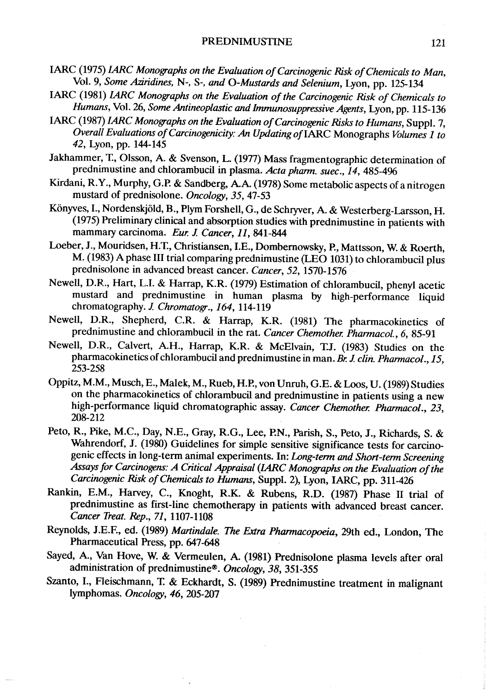- IARC (1975) LARC Monographs on the Evaluation of Carcinogenic Risk of Chemicals to Man, Vol. 9, Some Aziridines, N-, S-, and O-Mustards and Selenium, Lyon, pp. 125-134
- IARC (1981) IARC Monographs on the Evaluation of the Carcinogenic Risk of Chemicals to Humans, Vol. 26, Some Antineoplastic and Immunosuppressive Agents, Lyon, pp. 115-136
- IARC (1987) LARC Monographs on the Evaluation of Carcinogenic Risks to Humans, Suppl. 7, Overall Evaluations of Carcinogenicity: An Updating of IARC Monographs Volumes 1 to 42, Lyon, pp. 144-145
- Jakhammer, T., Olsson, A. & Svenson, L. (1977) Mass fragmentographic determination of prednimustine and chlorambucil in plasma. Acta pharm. suec., 14, 485-496
- Kirdani, R.Y., Murphy, G.P. & Sandberg, A.A. (1978) Some metabolic aspects of a nitrogen mustard of prednisolone. Oncology, 35, 47-53
- Könyves, 1., Nordenskjöld, B., Plym Forshell, G., de Schryer, A. & Westerberg-Larsson, H.  $(1975)$  Preliminary clinical and absorption studies with prednimustine in patients with mammary carcinoma. Eur. J. Cancer, 11, 841-844
- Loeber, J., Mouridsen, H.T., Christiansen, I.E., Dombernowsky, P., Mattsson, W. & Roerth, M. (1983) A phase III trial comparig prednimustine (LEO 1031) to chlorambucil plus prednisolone in advanced breast cancer. Cancer, 52, 1570-1576
- Newell, D.R., Hart, L.1. & Harrap, K.R. (1979) Estimation of chlorambucil, phenyl acetic mustard and prednimustine in human plasma by high-performance liquid chromatography. J. Chromatogr., 164, 114-119
- Newell, D.R., Shepherd, C.R. & Harrap, K.R. (1981) The pharmacokinetics of prednimustine and chlorambucil in the rat. Cancer Chemother. Pharmacol., 6, 85-91
- Newell, D.R., Calvert, A.H., Harrap, K.R. & McElvain, LJ. (1983) Studies on the pharmacokinetics of chlorambucil and prednimustine in man. Br. J. clin. Pharmacol., 15, 253- 258
- Oppitz, M.M., Musch, E., Malek, M., Rueb, H.P., von Unruh, G.E. & Loos, U. (1989) Studies on the pharmacokinetics of chlorambucil and prednimustine in patients using a new high-performance liquid chromatographic assay. Cancer Chemother. Pharmacol., 23, 208-212
- Peto, R., Pike, M.C., Day, N.E., Gray, R.G., Lee, P.N., Parish, S., Peto, J., Richards, S. & Wahrendorf, J. (1980) Guidelines for simple sensitive significance tests for carcinogenic effects in long-term animal experiments. In: Long-term and Short-term Screening Assays for Carcinogens: A Critical Appraisal (IARC Monographs on the Evaluation of the Carcinogenic Risk of Chemicals to Humans, Suppl. 2), Lyon, IARC, pp. 311-426
- Rankin, E.M., Harvey, C., Knoght, R.K. & Rubens, R.D. (1987) Phase II trial of prednimustine as first-line chemotherapy in patients with advanced breast cancer. Caner Treat. Rep., 71, 1107-1108
- Reynolds, J.E.F., ed. (1989) Martindale. The Extra Pharmacopoeia, 29th ed., London, The Pharmaceutical Press, pp. 647-648
- Sayed, A., Van Hove, W. & Vermeulen, A (1981) Prednisolone plasma levels after oral administration of prednimustine®. Oncology, 38, 351-355
- Szanto, I., Fleischmann, T. & Eckhardt, S. (1989) Prednimustine treatment in malignant lymphomas. Oncology, 46, 205-207